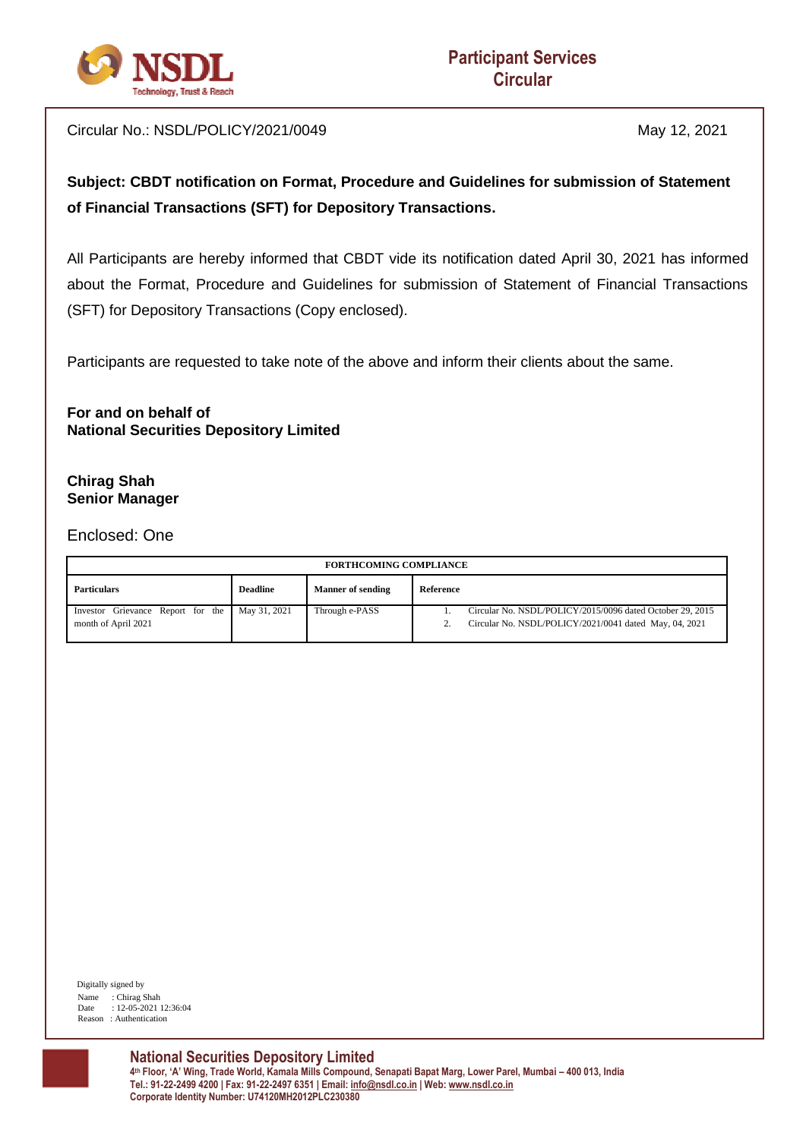

Circular No.: NSDL/POLICY/2021/0049 May 12, 2021

# **Subject: CBDT notification on Format, Procedure and Guidelines for submission of Statement of Financial Transactions (SFT) for Depository Transactions.**

All Participants are hereby informed that CBDT vide its notification dated April 30, 2021 has informed about the Format, Procedure and Guidelines for submission of Statement of Financial Transactions (SFT) for Depository Transactions (Copy enclosed).

Participants are requested to take note of the above and inform their clients about the same.

**For and on behalf of National Securities Depository Limited**

#### **Chirag Shah Senior Manager**

Enclosed: One

| <b>FORTHCOMING COMPLIANCE</b>                            |                 |                          |                                                                                                                     |  |  |  |
|----------------------------------------------------------|-----------------|--------------------------|---------------------------------------------------------------------------------------------------------------------|--|--|--|
| <b>Particulars</b>                                       | <b>Deadline</b> | <b>Manner of sending</b> | Reference                                                                                                           |  |  |  |
| Investor Grievance Report for the<br>month of April 2021 | May 31, 2021    | Through e-PASS           | Circular No. NSDL/POLICY/2015/0096 dated October 29, 2015<br>Circular No. NSDL/POLICY/2021/0041 dated May, 04, 2021 |  |  |  |

 Digitally signed by Name : Chirag Shah Date : 12-05-2021 12:36:04 Reason : Authentication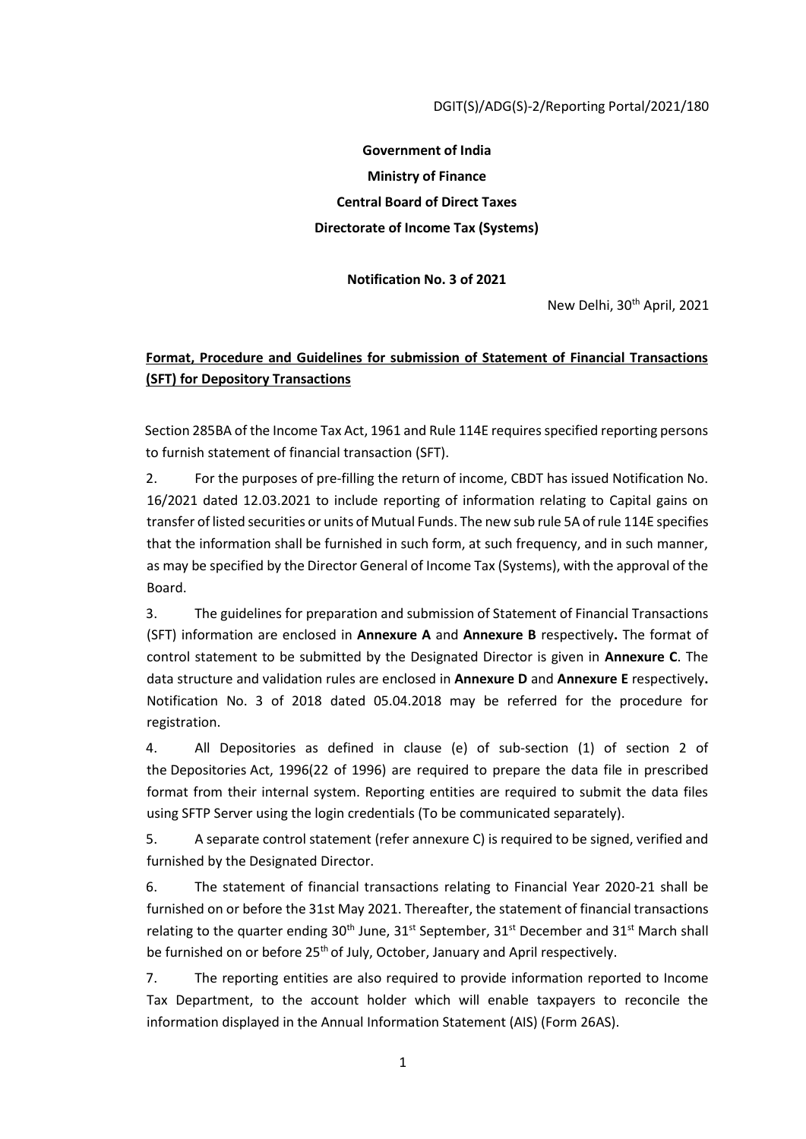**Government of India Ministry of Finance Central Board of Direct Taxes Directorate of Income Tax (Systems)** 

**Notification No. 3 of 2021** 

New Delhi, 30th April, 2021

## **Format, Procedure and Guidelines for submission of Statement of Financial Transactions (SFT) for Depository Transactions**

Section 285BA of the Income Tax Act, 1961 and Rule 114E requires specified reporting persons to furnish statement of financial transaction (SFT).

2. For the purposes of pre-filling the return of income, CBDT has issued Notification No. 16/2021 dated 12.03.2021 to include reporting of information relating to Capital gains on transfer of listed securities or units of Mutual Funds. The new sub rule 5A of rule 114E specifies that the information shall be furnished in such form, at such frequency, and in such manner, as may be specified by the Director General of Income Tax (Systems), with the approval of the Board.

3. The guidelines for preparation and submission of Statement of Financial Transactions (SFT) information are enclosed in **Annexure A** and **Annexure B** respectively**.** The format of control statement to be submitted by the Designated Director is given in **Annexure C**. The data structure and validation rules are enclosed in **Annexure D** and **Annexure E** respectively**.**  Notification No. 3 of 2018 dated 05.04.2018 may be referred for the procedure for registration.

4. All Depositories as defined in clause (e) of sub-section (1) of section 2 of the Depositories Act, 1996(22 of 1996) are required to prepare the data file in prescribed format from their internal system. Reporting entities are required to submit the data files using SFTP Server using the login credentials (To be communicated separately).

5. A separate control statement (refer annexure C) is required to be signed, verified and furnished by the Designated Director.

6. The statement of financial transactions relating to Financial Year 2020-21 shall be furnished on or before the 31st May 2021. Thereafter, the statement of financial transactions relating to the quarter ending  $30<sup>th</sup>$  June,  $31<sup>st</sup>$  September,  $31<sup>st</sup>$  December and  $31<sup>st</sup>$  March shall be furnished on or before 25<sup>th</sup> of July, October, January and April respectively.

7. The reporting entities are also required to provide information reported to Income Tax Department, to the account holder which will enable taxpayers to reconcile the information displayed in the Annual Information Statement (AIS) (Form 26AS).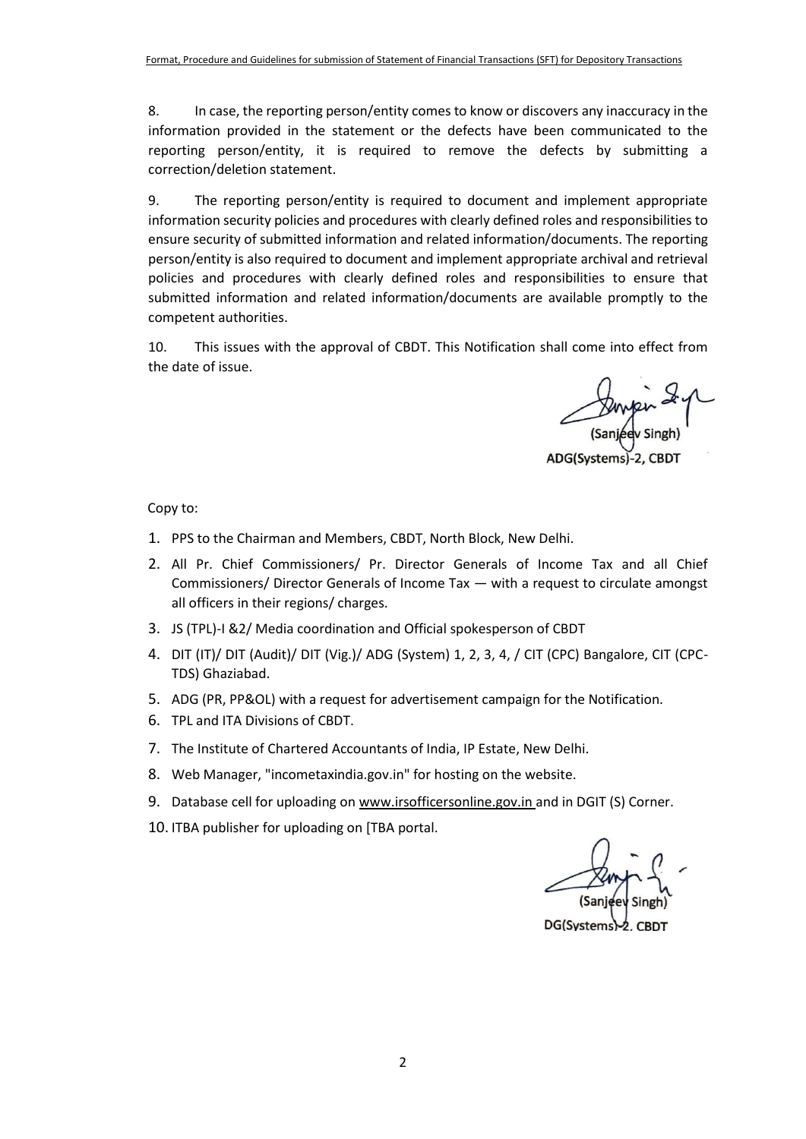8. In case, the reporting person/entity comes to know or discovers any inaccuracy in the information provided in the statement or the defects have been communicated to the reporting person/entity, it is required to remove the defects by submitting a correction/deletion statement.

9. The reporting person/entity is required to document and implement appropriate information security policies and procedures with clearly defined roles and responsibilities to ensure security of submitted information and related information/documents. The reporting person/entity is also required to document and implement appropriate archival and retrieval policies and procedures with clearly defined roles and responsibilities to ensure that submitted information and related information/documents are available promptly to the competent authorities.

10. This issues with the approval of CBDT. This Notification shall come into effect from the date of issue.

Duyley<br>(Sanjeev s

ADG(Systems)-2, CBD1

Copy to:

- 1. PPS to the Chairman and Members, CBDT, North Block, New Delhi.
- 2. All Pr. Chief Commissioners/ Pr. Director Generals of Income Tax and all Chief Commissioners/ Director Generals of Income Tax — with a request to circulate amongst all officers in their regions/ charges.
- 3. JS (TPL)-I &2/ Media coordination and Official spokesperson of CBDT
- 4. DIT (IT)/ DIT (Audit)/ DIT (Vig.)/ ADG (System) 1, 2, 3, 4, / CIT (CPC) Bangalore, CIT (CPC-TDS) Ghaziabad.
- 5. ADG (PR, PP&OL) with a request for advertisement campaign for the Notification.
- 6. TPL and ITA Divisions of CBDT.
- 7. The Institute of Chartered Accountants of India, IP Estate, New Delhi.
- 8. Web Manager, "incometaxindia.gov.in" for hosting on the website.
- 9. Database cell for uploading on www.irsofficersonline.gov.in and in DGIT (S) Corner.
- 10. ITBA publisher for uploading on [TBA portal.

DG(Systems)-2, CBDT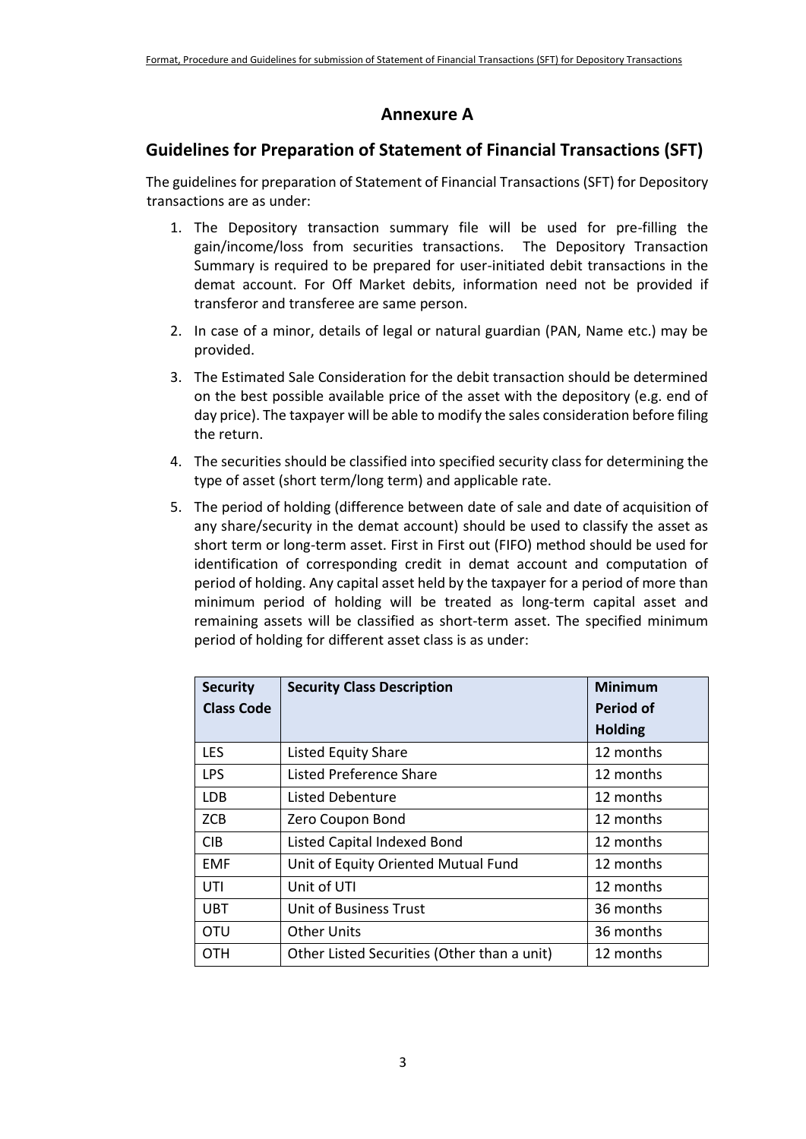## **Annexure A**

# **Guidelines for Preparation of Statement of Financial Transactions (SFT)**

The guidelines for preparation of Statement of Financial Transactions (SFT) for Depository transactions are as under:

- 1. The Depository transaction summary file will be used for pre-filling the gain/income/loss from securities transactions. The Depository Transaction Summary is required to be prepared for user-initiated debit transactions in the demat account. For Off Market debits, information need not be provided if transferor and transferee are same person.
- 2. In case of a minor, details of legal or natural guardian (PAN, Name etc.) may be provided.
- 3. The Estimated Sale Consideration for the debit transaction should be determined on the best possible available price of the asset with the depository (e.g. end of day price). The taxpayer will be able to modify the sales consideration before filing the return.
- 4. The securities should be classified into specified security class for determining the type of asset (short term/long term) and applicable rate.
- 5. The period of holding (difference between date of sale and date of acquisition of any share/security in the demat account) should be used to classify the asset as short term or long-term asset. First in First out (FIFO) method should be used for identification of corresponding credit in demat account and computation of period of holding. Any capital asset held by the taxpayer for a period of more than minimum period of holding will be treated as long-term capital asset and remaining assets will be classified as short-term asset. The specified minimum period of holding for different asset class is as under:

| <b>Security</b>   | <b>Security Class Description</b>           | <b>Minimum</b>   |
|-------------------|---------------------------------------------|------------------|
| <b>Class Code</b> |                                             | <b>Period of</b> |
|                   |                                             | <b>Holding</b>   |
| <b>LES</b>        | <b>Listed Equity Share</b>                  | 12 months        |
| <b>LPS</b>        | <b>Listed Preference Share</b>              | 12 months        |
| LDB.              | Listed Debenture                            | 12 months        |
| <b>ZCB</b>        | Zero Coupon Bond                            | 12 months        |
| <b>CIB</b>        | Listed Capital Indexed Bond                 | 12 months        |
| <b>EMF</b>        | Unit of Equity Oriented Mutual Fund         | 12 months        |
| UTI               | Unit of UTI                                 | 12 months        |
| <b>UBT</b>        | Unit of Business Trust                      | 36 months        |
| OTU               | <b>Other Units</b>                          | 36 months        |
| отн               | Other Listed Securities (Other than a unit) | 12 months        |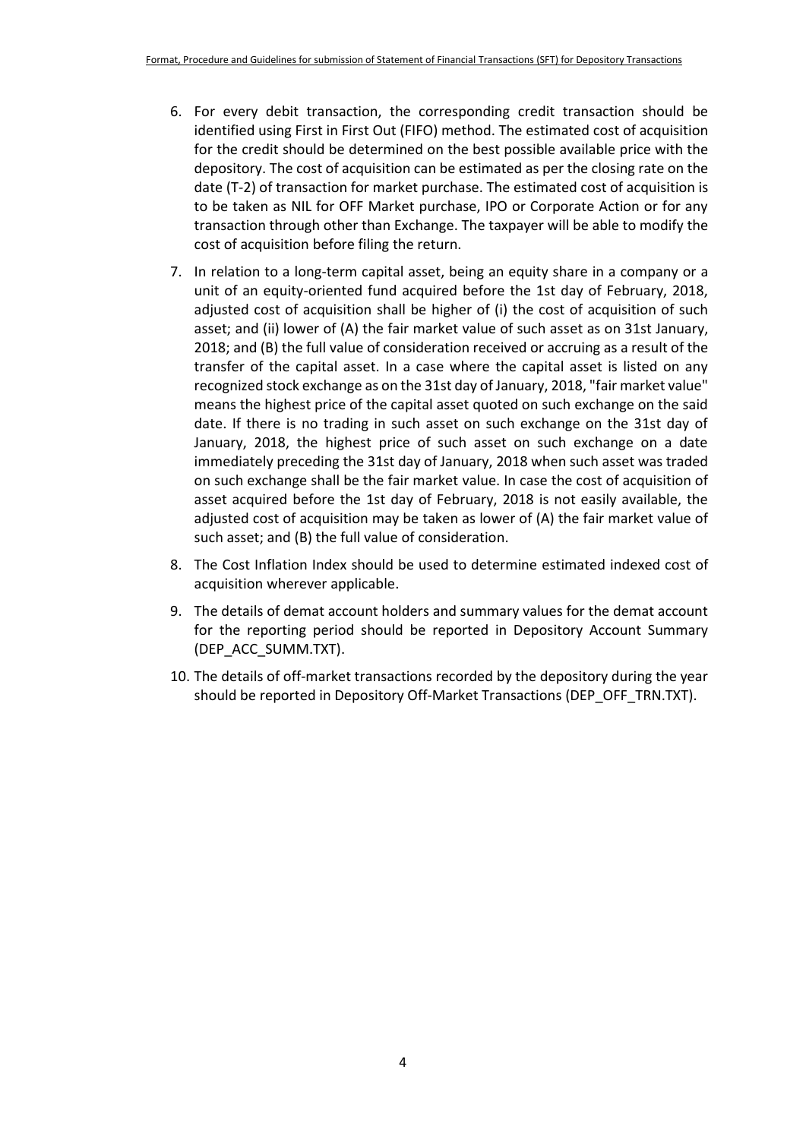- 6. For every debit transaction, the corresponding credit transaction should be identified using First in First Out (FIFO) method. The estimated cost of acquisition for the credit should be determined on the best possible available price with the depository. The cost of acquisition can be estimated as per the closing rate on the date (T-2) of transaction for market purchase. The estimated cost of acquisition is to be taken as NIL for OFF Market purchase, IPO or Corporate Action or for any transaction through other than Exchange. The taxpayer will be able to modify the cost of acquisition before filing the return.
- 7. In relation to a long-term capital asset, being an equity share in a company or a unit of an equity-oriented fund acquired before the 1st day of February, 2018, adjusted cost of acquisition shall be higher of (i) the cost of acquisition of such asset; and (ii) lower of (A) the fair market value of such asset as on 31st January, 2018; and (B) the full value of consideration received or accruing as a result of the transfer of the capital asset. In a case where the capital asset is listed on any recognized stock exchange as on the 31st day of January, 2018, "fair market value" means the highest price of the capital asset quoted on such exchange on the said date. If there is no trading in such asset on such exchange on the 31st day of January, 2018, the highest price of such asset on such exchange on a date immediately preceding the 31st day of January, 2018 when such asset was traded on such exchange shall be the fair market value. In case the cost of acquisition of asset acquired before the 1st day of February, 2018 is not easily available, the adjusted cost of acquisition may be taken as lower of (A) the fair market value of such asset; and (B) the full value of consideration.
- 8. The Cost Inflation Index should be used to determine estimated indexed cost of acquisition wherever applicable.
- 9. The details of demat account holders and summary values for the demat account for the reporting period should be reported in Depository Account Summary (DEP\_ACC\_SUMM.TXT).
- 10. The details of off-market transactions recorded by the depository during the year should be reported in Depository Off-Market Transactions (DEP\_OFF\_TRN.TXT).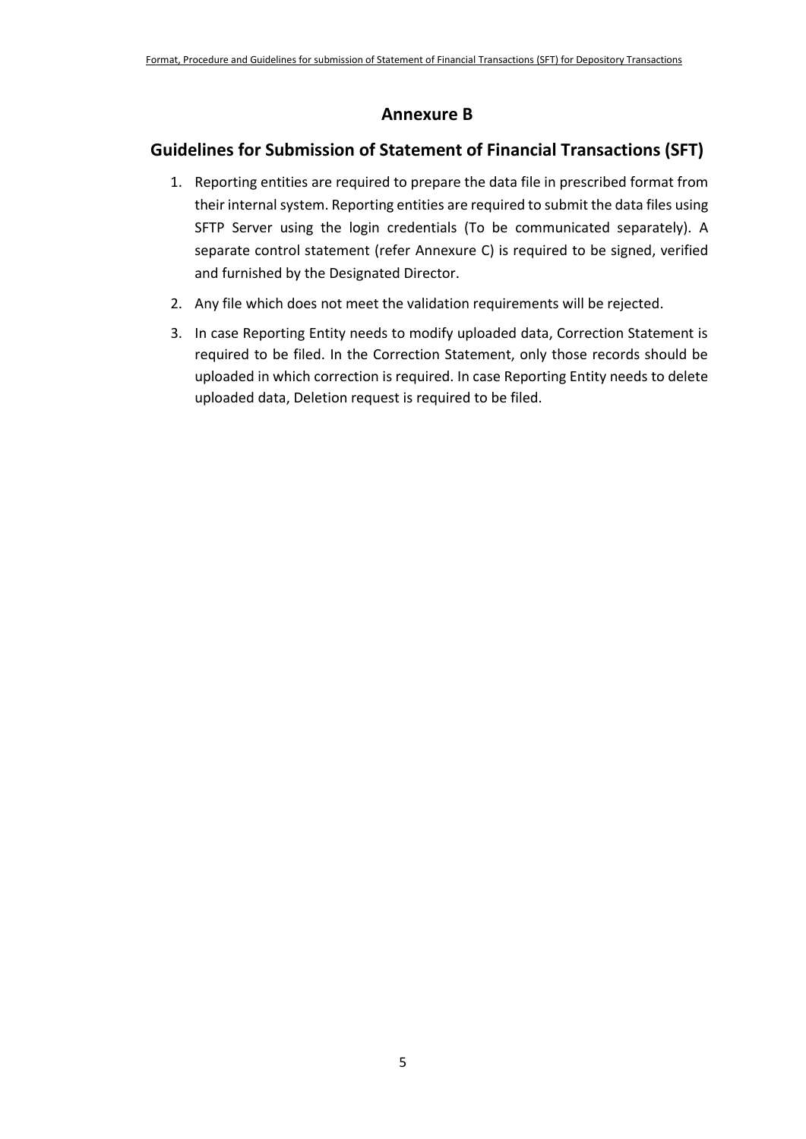## **Annexure B**

# **Guidelines for Submission of Statement of Financial Transactions (SFT)**

- 1. Reporting entities are required to prepare the data file in prescribed format from their internal system. Reporting entities are required to submit the data files using SFTP Server using the login credentials (To be communicated separately). A separate control statement (refer Annexure C) is required to be signed, verified and furnished by the Designated Director.
- 2. Any file which does not meet the validation requirements will be rejected.
- 3. In case Reporting Entity needs to modify uploaded data, Correction Statement is required to be filed. In the Correction Statement, only those records should be uploaded in which correction is required. In case Reporting Entity needs to delete uploaded data, Deletion request is required to be filed.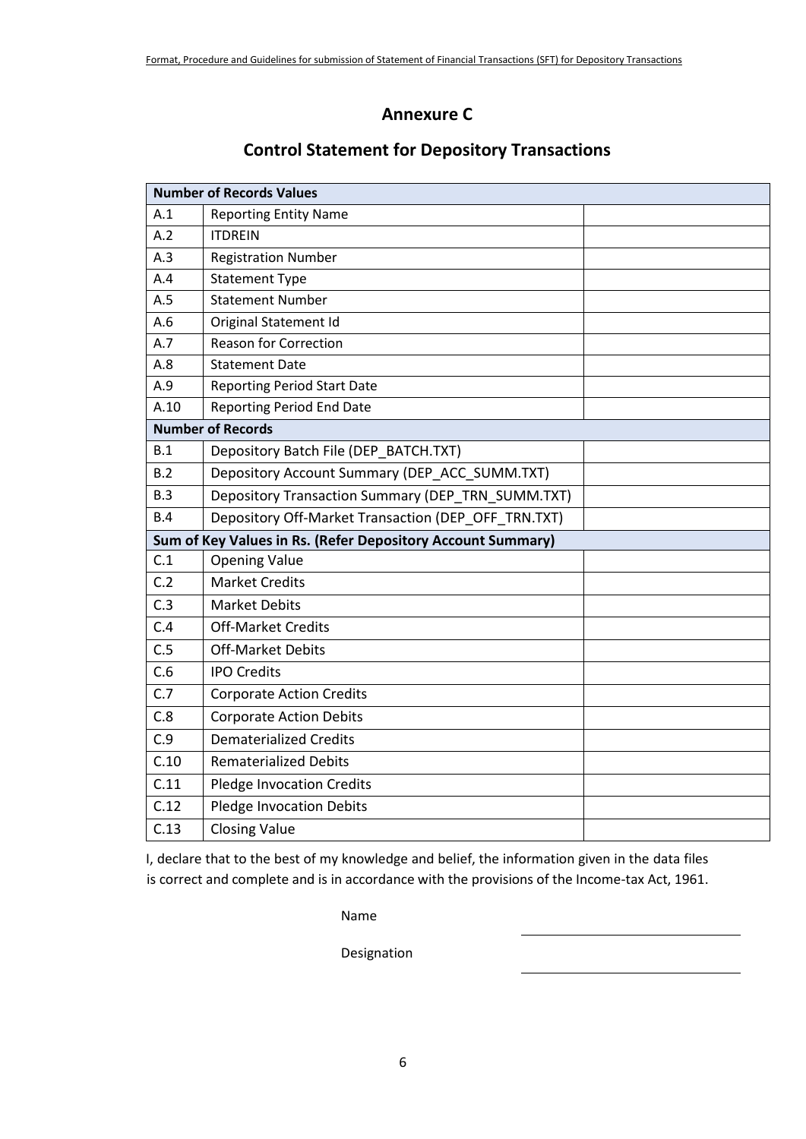## **Annexure C**

|      | <b>Number of Records Values</b>                             |  |
|------|-------------------------------------------------------------|--|
| A.1  | <b>Reporting Entity Name</b>                                |  |
| A.2  | <b>ITDREIN</b>                                              |  |
| A.3  | <b>Registration Number</b>                                  |  |
| A.4  | <b>Statement Type</b>                                       |  |
| A.5  | <b>Statement Number</b>                                     |  |
| A.6  | Original Statement Id                                       |  |
| A.7  | <b>Reason for Correction</b>                                |  |
| A.8  | <b>Statement Date</b>                                       |  |
| A.9  | <b>Reporting Period Start Date</b>                          |  |
| A.10 | <b>Reporting Period End Date</b>                            |  |
|      | <b>Number of Records</b>                                    |  |
| B.1  | Depository Batch File (DEP_BATCH.TXT)                       |  |
| B.2  | Depository Account Summary (DEP ACC SUMM.TXT)               |  |
| B.3  | Depository Transaction Summary (DEP_TRN_SUMM.TXT)           |  |
| B.4  | Depository Off-Market Transaction (DEP_OFF_TRN.TXT)         |  |
|      | Sum of Key Values in Rs. (Refer Depository Account Summary) |  |
| C.1  | <b>Opening Value</b>                                        |  |
| C.2  | <b>Market Credits</b>                                       |  |
| C.3  | <b>Market Debits</b>                                        |  |
| C.4  | <b>Off-Market Credits</b>                                   |  |
| C.5  | <b>Off-Market Debits</b>                                    |  |
| C.6  | <b>IPO Credits</b>                                          |  |
| C.7  | <b>Corporate Action Credits</b>                             |  |
| C.8  | <b>Corporate Action Debits</b>                              |  |
| C.9  | <b>Dematerialized Credits</b>                               |  |
| C.10 | <b>Rematerialized Debits</b>                                |  |
| C.11 | <b>Pledge Invocation Credits</b>                            |  |
| C.12 | <b>Pledge Invocation Debits</b>                             |  |
| C.13 | <b>Closing Value</b>                                        |  |

# **Control Statement for Depository Transactions**

I, declare that to the best of my knowledge and belief, the information given in the data files is correct and complete and is in accordance with the provisions of the Income-tax Act, 1961.

Name

Designation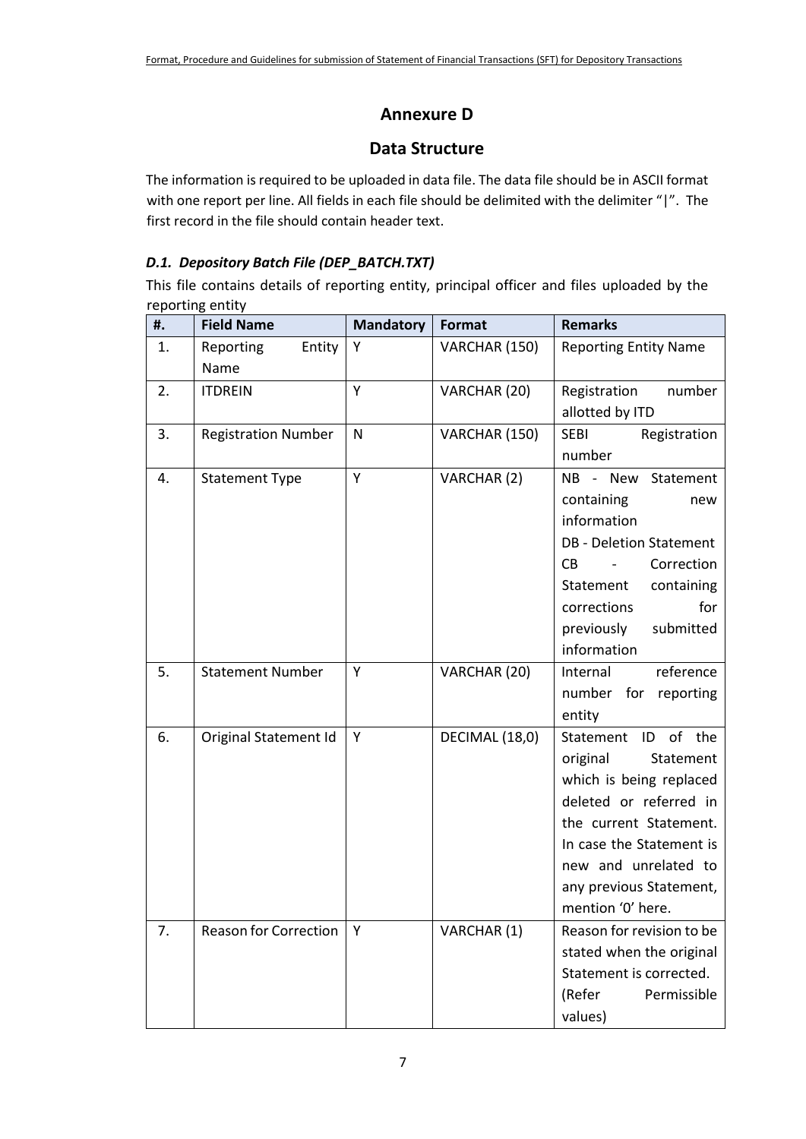# **Annexure D**

## **Data Structure**

The information is required to be uploaded in data file. The data file should be in ASCII format with one report per line. All fields in each file should be delimited with the delimiter "|". The first record in the file should contain header text.

## *D.1. Depository Batch File (DEP\_BATCH.TXT)*

This file contains details of reporting entity, principal officer and files uploaded by the reporting entity

| #. | <b>Field Name</b>            | <b>Mandatory</b> | Format         | <b>Remarks</b>                      |
|----|------------------------------|------------------|----------------|-------------------------------------|
| 1. | Reporting<br>Entity<br>Name  | Υ                | VARCHAR (150)  | <b>Reporting Entity Name</b>        |
| 2. | <b>ITDREIN</b>               | Y                | VARCHAR (20)   | Registration<br>number              |
|    |                              |                  |                | allotted by ITD                     |
| 3. | <b>Registration Number</b>   | N                | VARCHAR (150)  | <b>SEBI</b><br>Registration         |
|    |                              |                  |                | number                              |
| 4. | <b>Statement Type</b>        | Y                | VARCHAR (2)    | NB - New Statement                  |
|    |                              |                  |                | containing<br>new                   |
|    |                              |                  |                | information                         |
|    |                              |                  |                | <b>DB</b> - Deletion Statement      |
|    |                              |                  |                | Correction<br>CB.<br>$\blacksquare$ |
|    |                              |                  |                | Statement<br>containing             |
|    |                              |                  |                | for<br>corrections                  |
|    |                              |                  |                | previously<br>submitted             |
|    |                              |                  |                | information                         |
| 5. | <b>Statement Number</b>      | Y                | VARCHAR (20)   | Internal<br>reference               |
|    |                              |                  |                | number for reporting                |
|    |                              |                  |                | entity                              |
| 6. | Original Statement Id        | Y                | DECIMAL (18,0) | Statement ID of the                 |
|    |                              |                  |                | original<br>Statement               |
|    |                              |                  |                | which is being replaced             |
|    |                              |                  |                | deleted or referred in              |
|    |                              |                  |                | the current Statement.              |
|    |                              |                  |                | In case the Statement is            |
|    |                              |                  |                | new and unrelated to                |
|    |                              |                  |                | any previous Statement,             |
|    |                              |                  |                | mention '0' here.                   |
| 7. | <b>Reason for Correction</b> | Υ                | VARCHAR (1)    | Reason for revision to be           |
|    |                              |                  |                | stated when the original            |
|    |                              |                  |                | Statement is corrected.             |
|    |                              |                  |                | Permissible<br>(Refer               |
|    |                              |                  |                | values)                             |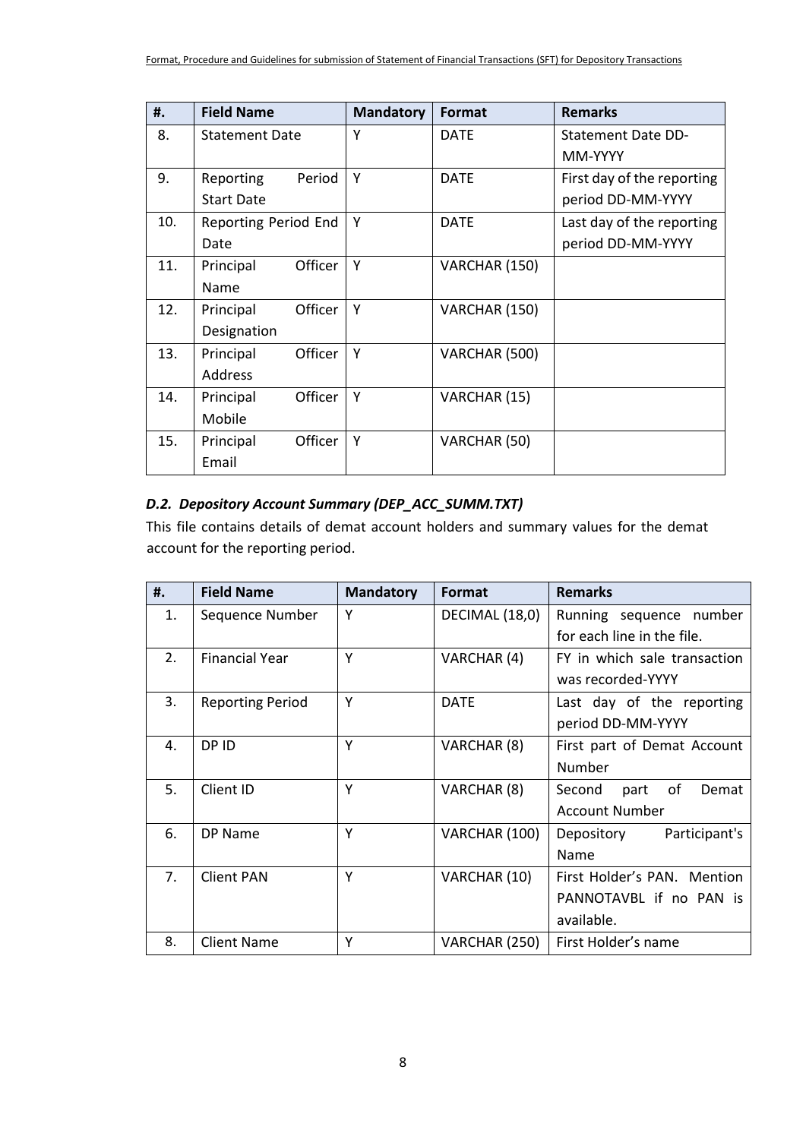| #.  | <b>Field Name</b>           | <b>Mandatory</b> | <b>Format</b> | <b>Remarks</b>             |
|-----|-----------------------------|------------------|---------------|----------------------------|
| 8.  | <b>Statement Date</b>       | γ                | <b>DATE</b>   | <b>Statement Date DD-</b>  |
|     |                             |                  |               | MM-YYYY                    |
| 9.  | Reporting<br>Period         | Υ                | <b>DATE</b>   | First day of the reporting |
|     | <b>Start Date</b>           |                  |               | period DD-MM-YYYY          |
| 10. | Reporting Period End        | Υ                | <b>DATE</b>   | Last day of the reporting  |
|     | Date                        |                  |               | period DD-MM-YYYY          |
| 11. | Officer<br>Principal        | Υ                | VARCHAR (150) |                            |
|     | Name                        |                  |               |                            |
| 12. | Principal<br><b>Officer</b> | Υ                | VARCHAR (150) |                            |
|     | Designation                 |                  |               |                            |
| 13. | Principal<br>Officer        | Y                | VARCHAR (500) |                            |
|     | <b>Address</b>              |                  |               |                            |
| 14. | Officer<br>Principal        | Υ                | VARCHAR (15)  |                            |
|     | Mobile                      |                  |               |                            |
| 15. | <b>Officer</b><br>Principal | Υ                | VARCHAR (50)  |                            |
|     | Email                       |                  |               |                            |

### *D.2. Depository Account Summary (DEP\_ACC\_SUMM.TXT)*

This file contains details of demat account holders and summary values for the demat account for the reporting period.

| #. | <b>Field Name</b>       | <b>Mandatory</b> | Format         | <b>Remarks</b>                |
|----|-------------------------|------------------|----------------|-------------------------------|
| 1. | Sequence Number         | Υ                | DECIMAL (18,0) | Running sequence number       |
|    |                         |                  |                | for each line in the file.    |
| 2. | <b>Financial Year</b>   | Υ                | VARCHAR (4)    | FY in which sale transaction  |
|    |                         |                  |                | was recorded-YYYY             |
| 3. | <b>Reporting Period</b> | Y                | <b>DATE</b>    | Last day of the reporting     |
|    |                         |                  |                | period DD-MM-YYYY             |
| 4. | DP ID                   | Υ                | VARCHAR (8)    | First part of Demat Account   |
|    |                         |                  |                | Number                        |
| 5. | Client ID               | Υ                | VARCHAR (8)    | of<br>Second<br>Demat<br>part |
|    |                         |                  |                | <b>Account Number</b>         |
| 6. | DP Name                 | Y                | VARCHAR (100)  | Participant's<br>Depository   |
|    |                         |                  |                | Name                          |
| 7. | <b>Client PAN</b>       | Y                | VARCHAR (10)   | First Holder's PAN. Mention   |
|    |                         |                  |                | PANNOTAVBL if no PAN is       |
|    |                         |                  |                | available.                    |
| 8. | <b>Client Name</b>      | Υ                | VARCHAR (250)  | First Holder's name           |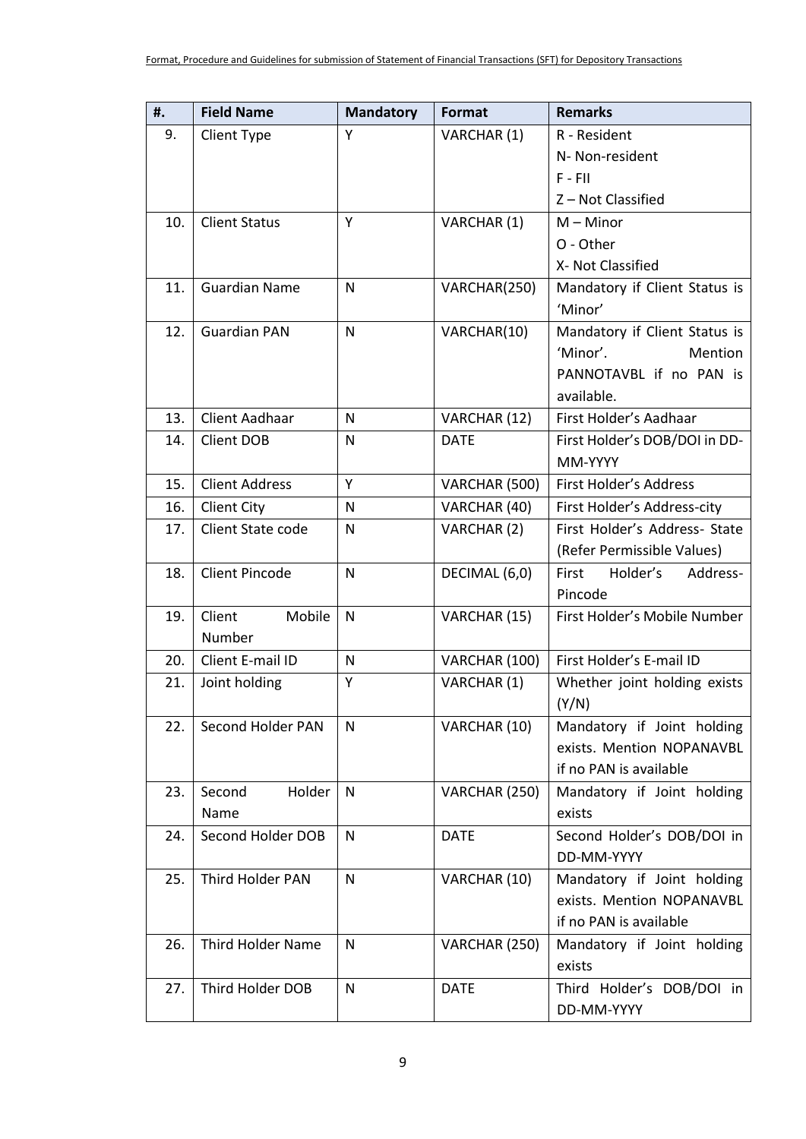| 9.<br>R - Resident<br>Client Type<br>Y<br>VARCHAR (1)<br>N- Non-resident<br>$F - FII$<br>Z-Not Classified<br>10.<br>Y<br>VARCHAR (1)<br><b>Client Status</b><br>$M -$ Minor<br>O - Other<br>X- Not Classified<br>11.<br>Mandatory if Client Status is<br><b>Guardian Name</b><br>N<br>VARCHAR(250)<br>'Minor'<br>12.<br><b>Guardian PAN</b><br>$\mathsf{N}$<br>VARCHAR(10)<br>Mandatory if Client Status is<br>'Minor'.<br>Mention<br>PANNOTAVBL if no PAN is<br>available.<br>13.<br>Client Aadhaar<br>First Holder's Aadhaar<br>N<br>VARCHAR (12)<br><b>Client DOB</b><br><b>DATE</b><br>First Holder's DOB/DOI in DD-<br>14.<br>N<br>MM-YYYY<br>15.<br><b>Client Address</b><br>Y<br>VARCHAR (500)<br>First Holder's Address<br><b>Client City</b><br>16.<br>$\mathsf{N}$<br>VARCHAR (40)<br>First Holder's Address-city<br>Client State code<br>First Holder's Address- State<br>17.<br>N<br>VARCHAR (2)<br>(Refer Permissible Values)<br><b>Client Pincode</b><br>Holder's<br>18.<br>First<br>Address-<br>N<br>DECIMAL (6,0)<br>Pincode<br>Client<br>Mobile<br>$\mathsf{N}$<br>First Holder's Mobile Number<br>19.<br>VARCHAR (15)<br>Number<br>First Holder's E-mail ID<br>Client E-mail ID<br>20.<br>$\mathsf{N}$<br>VARCHAR (100)<br>Υ<br>VARCHAR (1)<br>21.<br>Joint holding<br>Whether joint holding exists<br>(Y/N)<br>22.<br>Second Holder PAN<br>VARCHAR (10)<br>Mandatory if Joint holding<br>N<br>exists. Mention NOPANAVBL<br>if no PAN is available<br>23.<br>Second<br>Holder<br>Mandatory if Joint holding<br>$\mathsf{N}$<br>VARCHAR (250)<br>Name<br>exists<br>Second Holder DOB<br>$\mathsf{N}$<br><b>DATE</b><br>Second Holder's DOB/DOI in<br>24.<br>DD-MM-YYYY<br>Mandatory if Joint holding<br>25.<br>Third Holder PAN<br>$\mathsf{N}$<br>VARCHAR (10)<br>exists. Mention NOPANAVBL<br>if no PAN is available<br>26.<br><b>Third Holder Name</b><br>Mandatory if Joint holding<br>N<br>VARCHAR (250)<br>exists<br>27.<br>Third Holder DOB<br><b>DATE</b><br>N<br>Third Holder's DOB/DOI in<br>DD-MM-YYYY | #. | <b>Field Name</b> | <b>Mandatory</b> | Format | <b>Remarks</b> |
|------------------------------------------------------------------------------------------------------------------------------------------------------------------------------------------------------------------------------------------------------------------------------------------------------------------------------------------------------------------------------------------------------------------------------------------------------------------------------------------------------------------------------------------------------------------------------------------------------------------------------------------------------------------------------------------------------------------------------------------------------------------------------------------------------------------------------------------------------------------------------------------------------------------------------------------------------------------------------------------------------------------------------------------------------------------------------------------------------------------------------------------------------------------------------------------------------------------------------------------------------------------------------------------------------------------------------------------------------------------------------------------------------------------------------------------------------------------------------------------------------------------------------------------------------------------------------------------------------------------------------------------------------------------------------------------------------------------------------------------------------------------------------------------------------------------------------------------------------------------------------------------------------------------------------------------------------------------------------------------------------------------------------------|----|-------------------|------------------|--------|----------------|
|                                                                                                                                                                                                                                                                                                                                                                                                                                                                                                                                                                                                                                                                                                                                                                                                                                                                                                                                                                                                                                                                                                                                                                                                                                                                                                                                                                                                                                                                                                                                                                                                                                                                                                                                                                                                                                                                                                                                                                                                                                    |    |                   |                  |        |                |
|                                                                                                                                                                                                                                                                                                                                                                                                                                                                                                                                                                                                                                                                                                                                                                                                                                                                                                                                                                                                                                                                                                                                                                                                                                                                                                                                                                                                                                                                                                                                                                                                                                                                                                                                                                                                                                                                                                                                                                                                                                    |    |                   |                  |        |                |
|                                                                                                                                                                                                                                                                                                                                                                                                                                                                                                                                                                                                                                                                                                                                                                                                                                                                                                                                                                                                                                                                                                                                                                                                                                                                                                                                                                                                                                                                                                                                                                                                                                                                                                                                                                                                                                                                                                                                                                                                                                    |    |                   |                  |        |                |
|                                                                                                                                                                                                                                                                                                                                                                                                                                                                                                                                                                                                                                                                                                                                                                                                                                                                                                                                                                                                                                                                                                                                                                                                                                                                                                                                                                                                                                                                                                                                                                                                                                                                                                                                                                                                                                                                                                                                                                                                                                    |    |                   |                  |        |                |
|                                                                                                                                                                                                                                                                                                                                                                                                                                                                                                                                                                                                                                                                                                                                                                                                                                                                                                                                                                                                                                                                                                                                                                                                                                                                                                                                                                                                                                                                                                                                                                                                                                                                                                                                                                                                                                                                                                                                                                                                                                    |    |                   |                  |        |                |
|                                                                                                                                                                                                                                                                                                                                                                                                                                                                                                                                                                                                                                                                                                                                                                                                                                                                                                                                                                                                                                                                                                                                                                                                                                                                                                                                                                                                                                                                                                                                                                                                                                                                                                                                                                                                                                                                                                                                                                                                                                    |    |                   |                  |        |                |
|                                                                                                                                                                                                                                                                                                                                                                                                                                                                                                                                                                                                                                                                                                                                                                                                                                                                                                                                                                                                                                                                                                                                                                                                                                                                                                                                                                                                                                                                                                                                                                                                                                                                                                                                                                                                                                                                                                                                                                                                                                    |    |                   |                  |        |                |
|                                                                                                                                                                                                                                                                                                                                                                                                                                                                                                                                                                                                                                                                                                                                                                                                                                                                                                                                                                                                                                                                                                                                                                                                                                                                                                                                                                                                                                                                                                                                                                                                                                                                                                                                                                                                                                                                                                                                                                                                                                    |    |                   |                  |        |                |
|                                                                                                                                                                                                                                                                                                                                                                                                                                                                                                                                                                                                                                                                                                                                                                                                                                                                                                                                                                                                                                                                                                                                                                                                                                                                                                                                                                                                                                                                                                                                                                                                                                                                                                                                                                                                                                                                                                                                                                                                                                    |    |                   |                  |        |                |
|                                                                                                                                                                                                                                                                                                                                                                                                                                                                                                                                                                                                                                                                                                                                                                                                                                                                                                                                                                                                                                                                                                                                                                                                                                                                                                                                                                                                                                                                                                                                                                                                                                                                                                                                                                                                                                                                                                                                                                                                                                    |    |                   |                  |        |                |
|                                                                                                                                                                                                                                                                                                                                                                                                                                                                                                                                                                                                                                                                                                                                                                                                                                                                                                                                                                                                                                                                                                                                                                                                                                                                                                                                                                                                                                                                                                                                                                                                                                                                                                                                                                                                                                                                                                                                                                                                                                    |    |                   |                  |        |                |
|                                                                                                                                                                                                                                                                                                                                                                                                                                                                                                                                                                                                                                                                                                                                                                                                                                                                                                                                                                                                                                                                                                                                                                                                                                                                                                                                                                                                                                                                                                                                                                                                                                                                                                                                                                                                                                                                                                                                                                                                                                    |    |                   |                  |        |                |
|                                                                                                                                                                                                                                                                                                                                                                                                                                                                                                                                                                                                                                                                                                                                                                                                                                                                                                                                                                                                                                                                                                                                                                                                                                                                                                                                                                                                                                                                                                                                                                                                                                                                                                                                                                                                                                                                                                                                                                                                                                    |    |                   |                  |        |                |
|                                                                                                                                                                                                                                                                                                                                                                                                                                                                                                                                                                                                                                                                                                                                                                                                                                                                                                                                                                                                                                                                                                                                                                                                                                                                                                                                                                                                                                                                                                                                                                                                                                                                                                                                                                                                                                                                                                                                                                                                                                    |    |                   |                  |        |                |
|                                                                                                                                                                                                                                                                                                                                                                                                                                                                                                                                                                                                                                                                                                                                                                                                                                                                                                                                                                                                                                                                                                                                                                                                                                                                                                                                                                                                                                                                                                                                                                                                                                                                                                                                                                                                                                                                                                                                                                                                                                    |    |                   |                  |        |                |
|                                                                                                                                                                                                                                                                                                                                                                                                                                                                                                                                                                                                                                                                                                                                                                                                                                                                                                                                                                                                                                                                                                                                                                                                                                                                                                                                                                                                                                                                                                                                                                                                                                                                                                                                                                                                                                                                                                                                                                                                                                    |    |                   |                  |        |                |
|                                                                                                                                                                                                                                                                                                                                                                                                                                                                                                                                                                                                                                                                                                                                                                                                                                                                                                                                                                                                                                                                                                                                                                                                                                                                                                                                                                                                                                                                                                                                                                                                                                                                                                                                                                                                                                                                                                                                                                                                                                    |    |                   |                  |        |                |
|                                                                                                                                                                                                                                                                                                                                                                                                                                                                                                                                                                                                                                                                                                                                                                                                                                                                                                                                                                                                                                                                                                                                                                                                                                                                                                                                                                                                                                                                                                                                                                                                                                                                                                                                                                                                                                                                                                                                                                                                                                    |    |                   |                  |        |                |
|                                                                                                                                                                                                                                                                                                                                                                                                                                                                                                                                                                                                                                                                                                                                                                                                                                                                                                                                                                                                                                                                                                                                                                                                                                                                                                                                                                                                                                                                                                                                                                                                                                                                                                                                                                                                                                                                                                                                                                                                                                    |    |                   |                  |        |                |
|                                                                                                                                                                                                                                                                                                                                                                                                                                                                                                                                                                                                                                                                                                                                                                                                                                                                                                                                                                                                                                                                                                                                                                                                                                                                                                                                                                                                                                                                                                                                                                                                                                                                                                                                                                                                                                                                                                                                                                                                                                    |    |                   |                  |        |                |
|                                                                                                                                                                                                                                                                                                                                                                                                                                                                                                                                                                                                                                                                                                                                                                                                                                                                                                                                                                                                                                                                                                                                                                                                                                                                                                                                                                                                                                                                                                                                                                                                                                                                                                                                                                                                                                                                                                                                                                                                                                    |    |                   |                  |        |                |
|                                                                                                                                                                                                                                                                                                                                                                                                                                                                                                                                                                                                                                                                                                                                                                                                                                                                                                                                                                                                                                                                                                                                                                                                                                                                                                                                                                                                                                                                                                                                                                                                                                                                                                                                                                                                                                                                                                                                                                                                                                    |    |                   |                  |        |                |
|                                                                                                                                                                                                                                                                                                                                                                                                                                                                                                                                                                                                                                                                                                                                                                                                                                                                                                                                                                                                                                                                                                                                                                                                                                                                                                                                                                                                                                                                                                                                                                                                                                                                                                                                                                                                                                                                                                                                                                                                                                    |    |                   |                  |        |                |
|                                                                                                                                                                                                                                                                                                                                                                                                                                                                                                                                                                                                                                                                                                                                                                                                                                                                                                                                                                                                                                                                                                                                                                                                                                                                                                                                                                                                                                                                                                                                                                                                                                                                                                                                                                                                                                                                                                                                                                                                                                    |    |                   |                  |        |                |
|                                                                                                                                                                                                                                                                                                                                                                                                                                                                                                                                                                                                                                                                                                                                                                                                                                                                                                                                                                                                                                                                                                                                                                                                                                                                                                                                                                                                                                                                                                                                                                                                                                                                                                                                                                                                                                                                                                                                                                                                                                    |    |                   |                  |        |                |
|                                                                                                                                                                                                                                                                                                                                                                                                                                                                                                                                                                                                                                                                                                                                                                                                                                                                                                                                                                                                                                                                                                                                                                                                                                                                                                                                                                                                                                                                                                                                                                                                                                                                                                                                                                                                                                                                                                                                                                                                                                    |    |                   |                  |        |                |
|                                                                                                                                                                                                                                                                                                                                                                                                                                                                                                                                                                                                                                                                                                                                                                                                                                                                                                                                                                                                                                                                                                                                                                                                                                                                                                                                                                                                                                                                                                                                                                                                                                                                                                                                                                                                                                                                                                                                                                                                                                    |    |                   |                  |        |                |
|                                                                                                                                                                                                                                                                                                                                                                                                                                                                                                                                                                                                                                                                                                                                                                                                                                                                                                                                                                                                                                                                                                                                                                                                                                                                                                                                                                                                                                                                                                                                                                                                                                                                                                                                                                                                                                                                                                                                                                                                                                    |    |                   |                  |        |                |
|                                                                                                                                                                                                                                                                                                                                                                                                                                                                                                                                                                                                                                                                                                                                                                                                                                                                                                                                                                                                                                                                                                                                                                                                                                                                                                                                                                                                                                                                                                                                                                                                                                                                                                                                                                                                                                                                                                                                                                                                                                    |    |                   |                  |        |                |
|                                                                                                                                                                                                                                                                                                                                                                                                                                                                                                                                                                                                                                                                                                                                                                                                                                                                                                                                                                                                                                                                                                                                                                                                                                                                                                                                                                                                                                                                                                                                                                                                                                                                                                                                                                                                                                                                                                                                                                                                                                    |    |                   |                  |        |                |
|                                                                                                                                                                                                                                                                                                                                                                                                                                                                                                                                                                                                                                                                                                                                                                                                                                                                                                                                                                                                                                                                                                                                                                                                                                                                                                                                                                                                                                                                                                                                                                                                                                                                                                                                                                                                                                                                                                                                                                                                                                    |    |                   |                  |        |                |
|                                                                                                                                                                                                                                                                                                                                                                                                                                                                                                                                                                                                                                                                                                                                                                                                                                                                                                                                                                                                                                                                                                                                                                                                                                                                                                                                                                                                                                                                                                                                                                                                                                                                                                                                                                                                                                                                                                                                                                                                                                    |    |                   |                  |        |                |
|                                                                                                                                                                                                                                                                                                                                                                                                                                                                                                                                                                                                                                                                                                                                                                                                                                                                                                                                                                                                                                                                                                                                                                                                                                                                                                                                                                                                                                                                                                                                                                                                                                                                                                                                                                                                                                                                                                                                                                                                                                    |    |                   |                  |        |                |
|                                                                                                                                                                                                                                                                                                                                                                                                                                                                                                                                                                                                                                                                                                                                                                                                                                                                                                                                                                                                                                                                                                                                                                                                                                                                                                                                                                                                                                                                                                                                                                                                                                                                                                                                                                                                                                                                                                                                                                                                                                    |    |                   |                  |        |                |
|                                                                                                                                                                                                                                                                                                                                                                                                                                                                                                                                                                                                                                                                                                                                                                                                                                                                                                                                                                                                                                                                                                                                                                                                                                                                                                                                                                                                                                                                                                                                                                                                                                                                                                                                                                                                                                                                                                                                                                                                                                    |    |                   |                  |        |                |
|                                                                                                                                                                                                                                                                                                                                                                                                                                                                                                                                                                                                                                                                                                                                                                                                                                                                                                                                                                                                                                                                                                                                                                                                                                                                                                                                                                                                                                                                                                                                                                                                                                                                                                                                                                                                                                                                                                                                                                                                                                    |    |                   |                  |        |                |
|                                                                                                                                                                                                                                                                                                                                                                                                                                                                                                                                                                                                                                                                                                                                                                                                                                                                                                                                                                                                                                                                                                                                                                                                                                                                                                                                                                                                                                                                                                                                                                                                                                                                                                                                                                                                                                                                                                                                                                                                                                    |    |                   |                  |        |                |
|                                                                                                                                                                                                                                                                                                                                                                                                                                                                                                                                                                                                                                                                                                                                                                                                                                                                                                                                                                                                                                                                                                                                                                                                                                                                                                                                                                                                                                                                                                                                                                                                                                                                                                                                                                                                                                                                                                                                                                                                                                    |    |                   |                  |        |                |
|                                                                                                                                                                                                                                                                                                                                                                                                                                                                                                                                                                                                                                                                                                                                                                                                                                                                                                                                                                                                                                                                                                                                                                                                                                                                                                                                                                                                                                                                                                                                                                                                                                                                                                                                                                                                                                                                                                                                                                                                                                    |    |                   |                  |        |                |
|                                                                                                                                                                                                                                                                                                                                                                                                                                                                                                                                                                                                                                                                                                                                                                                                                                                                                                                                                                                                                                                                                                                                                                                                                                                                                                                                                                                                                                                                                                                                                                                                                                                                                                                                                                                                                                                                                                                                                                                                                                    |    |                   |                  |        |                |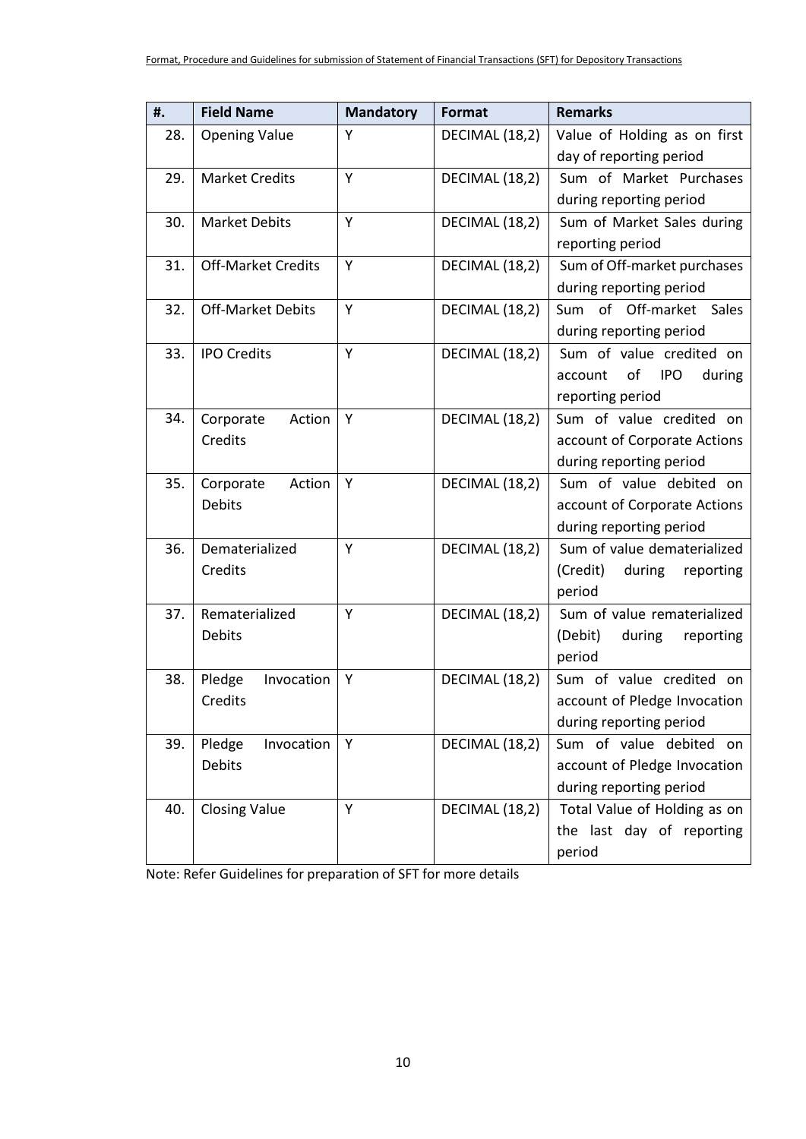| #.  | <b>Field Name</b>         | <b>Mandatory</b> | Format         | <b>Remarks</b>                        |
|-----|---------------------------|------------------|----------------|---------------------------------------|
| 28. | <b>Opening Value</b>      | Υ                | DECIMAL (18,2) | Value of Holding as on first          |
|     |                           |                  |                | day of reporting period               |
| 29. | <b>Market Credits</b>     | Y                | DECIMAL (18,2) | Sum of Market Purchases               |
|     |                           |                  |                | during reporting period               |
| 30. | <b>Market Debits</b>      | Y                | DECIMAL (18,2) | Sum of Market Sales during            |
|     |                           |                  |                | reporting period                      |
| 31. | <b>Off-Market Credits</b> | Υ                | DECIMAL (18,2) | Sum of Off-market purchases           |
|     |                           |                  |                | during reporting period               |
| 32. | <b>Off-Market Debits</b>  | Υ                | DECIMAL (18,2) | Sum of Off-market Sales               |
|     |                           |                  |                | during reporting period               |
| 33. | <b>IPO Credits</b>        | Y                | DECIMAL (18,2) | Sum of value credited on              |
|     |                           |                  |                | of<br><b>IPO</b><br>during<br>account |
|     |                           |                  |                | reporting period                      |
| 34. | Corporate<br>Action       | Υ                | DECIMAL (18,2) | Sum of value credited on              |
|     | Credits                   |                  |                | account of Corporate Actions          |
|     |                           |                  |                | during reporting period               |
| 35. | Corporate<br>Action       | Υ                | DECIMAL (18,2) | Sum of value debited on               |
|     | <b>Debits</b>             |                  |                | account of Corporate Actions          |
|     |                           |                  |                | during reporting period               |
| 36. | Dematerialized            | Υ                | DECIMAL (18,2) | Sum of value dematerialized           |
|     | Credits                   |                  |                | (Credit)<br>during<br>reporting       |
|     |                           |                  |                | period                                |
| 37. | Rematerialized            | Y                | DECIMAL (18,2) | Sum of value rematerialized           |
|     | <b>Debits</b>             |                  |                | (Debit)<br>during<br>reporting        |
|     |                           |                  |                | period                                |
| 38. | Invocation<br>Pledge      | Υ                | DECIMAL (18,2) | Sum of value credited on              |
|     | Credits                   |                  |                | account of Pledge Invocation          |
|     |                           |                  |                | during reporting period               |
| 39. | Pledge<br>Invocation      | Y                | DECIMAL (18,2) | Sum of value debited on               |
|     | Debits                    |                  |                | account of Pledge Invocation          |
|     |                           |                  |                | during reporting period               |
| 40. | <b>Closing Value</b>      | Y                | DECIMAL (18,2) | Total Value of Holding as on          |
|     |                           |                  |                | the last day of reporting             |
|     |                           |                  |                | period                                |

Note: Refer Guidelines for preparation of SFT for more details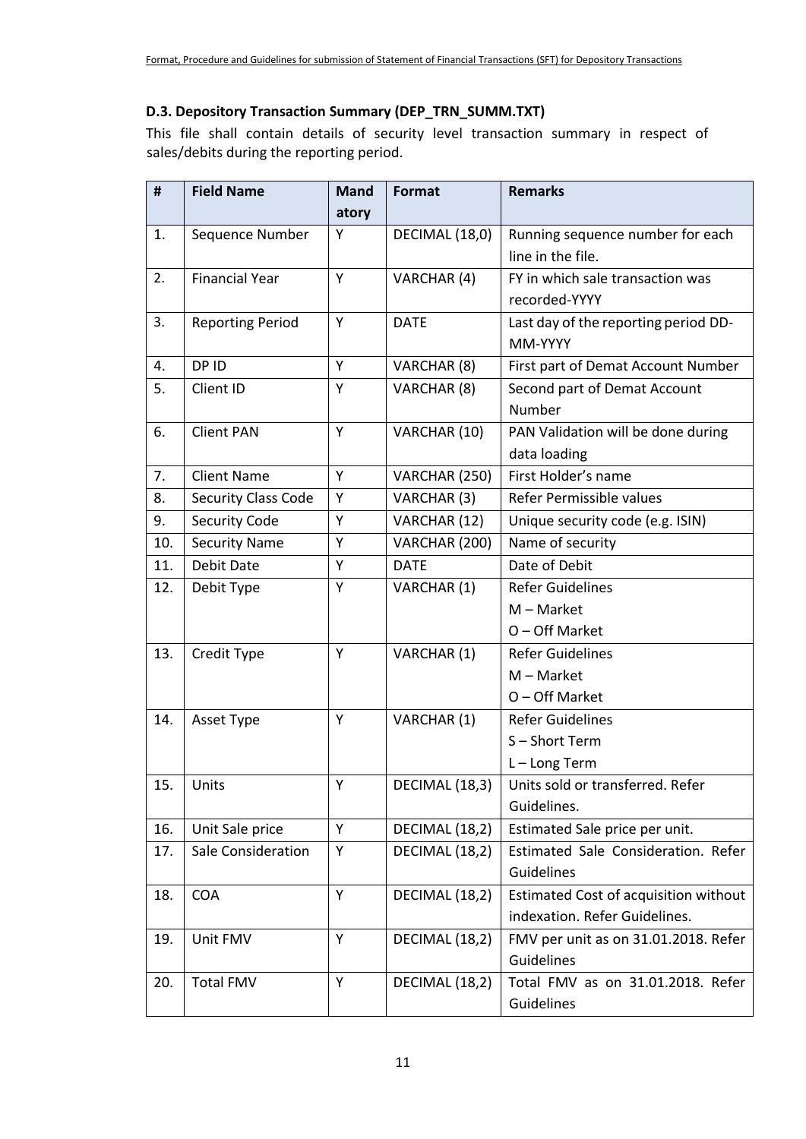### **D.3. Depository Transaction Summary (DEP\_TRN\_SUMM.TXT)**

This file shall contain details of security level transaction summary in respect of sales/debits during the reporting period.

| #   | <b>Field Name</b>          | <b>Mand</b> | Format         | <b>Remarks</b>                        |
|-----|----------------------------|-------------|----------------|---------------------------------------|
|     |                            | atory       |                |                                       |
| 1.  | Sequence Number            | Υ           | DECIMAL (18,0) | Running sequence number for each      |
|     |                            |             |                | line in the file.                     |
| 2.  | <b>Financial Year</b>      | Y           | VARCHAR (4)    | FY in which sale transaction was      |
|     |                            |             |                | recorded-YYYY                         |
| 3.  | <b>Reporting Period</b>    | Y           | <b>DATE</b>    | Last day of the reporting period DD-  |
|     |                            |             |                | MM-YYYY                               |
| 4.  | DP ID                      | Y           | VARCHAR (8)    | First part of Demat Account Number    |
| 5.  | Client ID                  | Υ           | VARCHAR (8)    | Second part of Demat Account          |
|     |                            |             |                | Number                                |
| 6.  | <b>Client PAN</b>          | Y           | VARCHAR (10)   | PAN Validation will be done during    |
|     |                            |             |                | data loading                          |
| 7.  | <b>Client Name</b>         | Y           | VARCHAR (250)  | First Holder's name                   |
| 8.  | <b>Security Class Code</b> | Υ           | VARCHAR (3)    | Refer Permissible values              |
| 9.  | <b>Security Code</b>       | Υ           | VARCHAR (12)   | Unique security code (e.g. ISIN)      |
| 10. | <b>Security Name</b>       | Y           | VARCHAR (200)  | Name of security                      |
| 11. | <b>Debit Date</b>          | Υ           | <b>DATE</b>    | Date of Debit                         |
| 12. | Debit Type                 | Υ           | VARCHAR (1)    | <b>Refer Guidelines</b>               |
|     |                            |             |                | $M - Market$                          |
|     |                            |             |                | $O$ – Off Market                      |
| 13. | Credit Type                | Υ           | VARCHAR (1)    | <b>Refer Guidelines</b>               |
|     |                            |             |                | $M - Market$                          |
|     |                            |             |                | O - Off Market                        |
| 14. | Asset Type                 | Y           | VARCHAR (1)    | <b>Refer Guidelines</b>               |
|     |                            |             |                | S-Short Term                          |
|     |                            |             |                | L-Long Term                           |
| 15. | Units                      | Υ           | DECIMAL (18,3) | Units sold or transferred. Refer      |
|     |                            |             |                | Guidelines.                           |
| 16. | Unit Sale price            | Y           | DECIMAL (18,2) | Estimated Sale price per unit.        |
| 17. | Sale Consideration         | Υ           | DECIMAL (18,2) | Estimated Sale Consideration. Refer   |
|     |                            |             |                | Guidelines                            |
| 18. | <b>COA</b>                 | Y           | DECIMAL (18,2) | Estimated Cost of acquisition without |
|     |                            |             |                | indexation. Refer Guidelines.         |
| 19. | Unit FMV                   | Y           | DECIMAL (18,2) | FMV per unit as on 31.01.2018. Refer  |
|     |                            |             |                | Guidelines                            |
| 20. | <b>Total FMV</b>           | Y           | DECIMAL (18,2) | Total FMV as on 31.01.2018. Refer     |
|     |                            |             |                | Guidelines                            |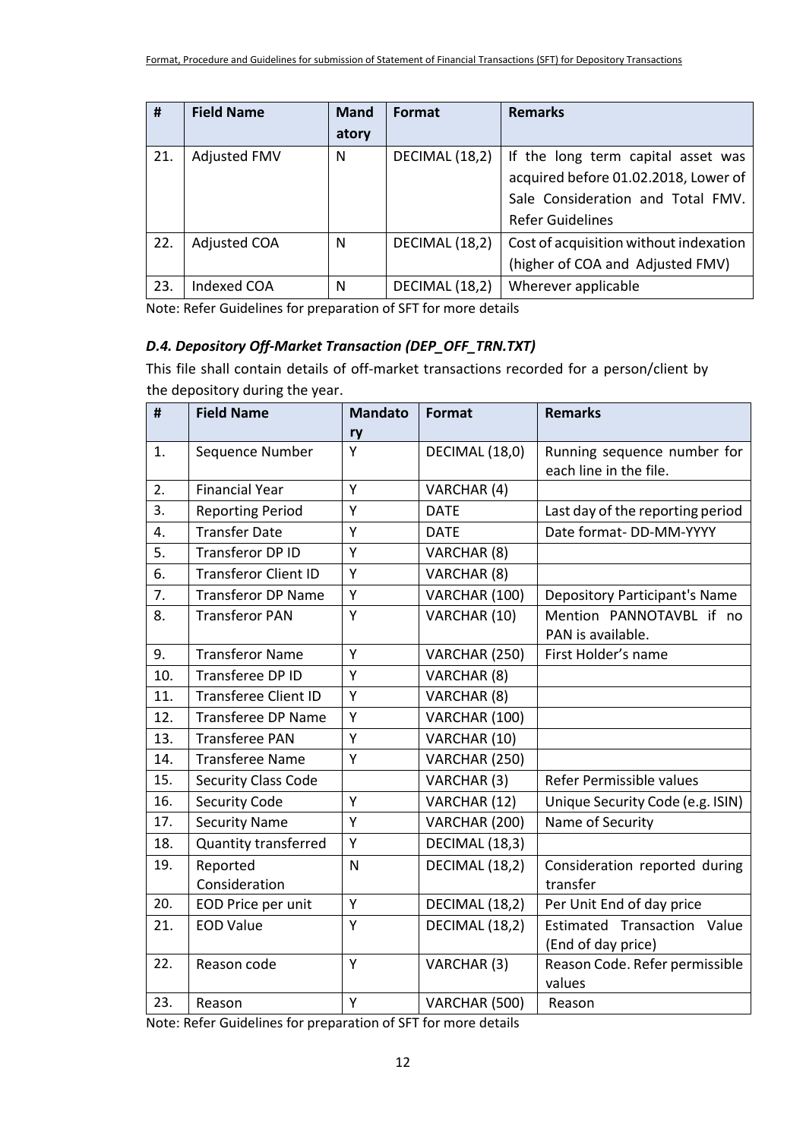| #   | <b>Field Name</b>   | <b>Mand</b> | Format         | <b>Remarks</b>                         |
|-----|---------------------|-------------|----------------|----------------------------------------|
|     |                     | atory       |                |                                        |
| 21. | <b>Adjusted FMV</b> | N           | DECIMAL (18,2) | If the long term capital asset was     |
|     |                     |             |                | acquired before 01.02.2018, Lower of   |
|     |                     |             |                | Sale Consideration and Total FMV.      |
|     |                     |             |                | <b>Refer Guidelines</b>                |
| 22. | <b>Adjusted COA</b> | N           | DECIMAL (18,2) | Cost of acquisition without indexation |
|     |                     |             |                | (higher of COA and Adjusted FMV)       |
| 23. | <b>Indexed COA</b>  | N           | DECIMAL (18,2) | Wherever applicable                    |

Note: Refer Guidelines for preparation of SFT for more details

#### *D.4. Depository Off-Market Transaction (DEP\_OFF\_TRN.TXT)*

This file shall contain details of off-market transactions recorded for a person/client by the depository during the year.

| #   | <b>Field Name</b>           | <b>Mandato</b> | Format         | <b>Remarks</b>                       |
|-----|-----------------------------|----------------|----------------|--------------------------------------|
|     |                             | ry             |                |                                      |
| 1.  | Sequence Number             | Y              | DECIMAL (18,0) | Running sequence number for          |
|     |                             |                |                | each line in the file.               |
| 2.  | <b>Financial Year</b>       | Y              | VARCHAR (4)    |                                      |
| 3.  | <b>Reporting Period</b>     | Υ              | <b>DATE</b>    | Last day of the reporting period     |
| 4.  | <b>Transfer Date</b>        | Y              | <b>DATE</b>    | Date format-DD-MM-YYYY               |
| 5.  | <b>Transferor DP ID</b>     | Y              | VARCHAR (8)    |                                      |
| 6.  | <b>Transferor Client ID</b> | Y              | VARCHAR (8)    |                                      |
| 7.  | <b>Transferor DP Name</b>   | Υ              | VARCHAR (100)  | <b>Depository Participant's Name</b> |
| 8.  | <b>Transferor PAN</b>       | Y              | VARCHAR (10)   | Mention PANNOTAVBL if no             |
|     |                             |                |                | PAN is available.                    |
| 9.  | <b>Transferor Name</b>      | Y              | VARCHAR (250)  | First Holder's name                  |
| 10. | Transferee DP ID            | Y              | VARCHAR (8)    |                                      |
| 11. | <b>Transferee Client ID</b> | Y              | VARCHAR (8)    |                                      |
| 12. | <b>Transferee DP Name</b>   | Υ              | VARCHAR (100)  |                                      |
| 13. | <b>Transferee PAN</b>       | Υ              | VARCHAR (10)   |                                      |
| 14. | <b>Transferee Name</b>      | Y              | VARCHAR (250)  |                                      |
| 15. | <b>Security Class Code</b>  |                | VARCHAR (3)    | Refer Permissible values             |
| 16. | <b>Security Code</b>        | Y              | VARCHAR (12)   | Unique Security Code (e.g. ISIN)     |
| 17. | <b>Security Name</b>        | Y              | VARCHAR (200)  | Name of Security                     |
| 18. | <b>Quantity transferred</b> | Y              | DECIMAL (18,3) |                                      |
| 19. | Reported                    | N              | DECIMAL (18,2) | Consideration reported during        |
|     | Consideration               |                |                | transfer                             |
| 20. | EOD Price per unit          | Υ              | DECIMAL (18,2) | Per Unit End of day price            |
| 21. | <b>EOD Value</b>            | Y              | DECIMAL (18,2) | Estimated Transaction Value          |
|     |                             |                |                | (End of day price)                   |
| 22. | Reason code                 | Y              | VARCHAR (3)    | Reason Code. Refer permissible       |
|     |                             |                |                | values                               |
| 23. | Reason                      | Y              | VARCHAR (500)  | Reason                               |

Note: Refer Guidelines for preparation of SFT for more details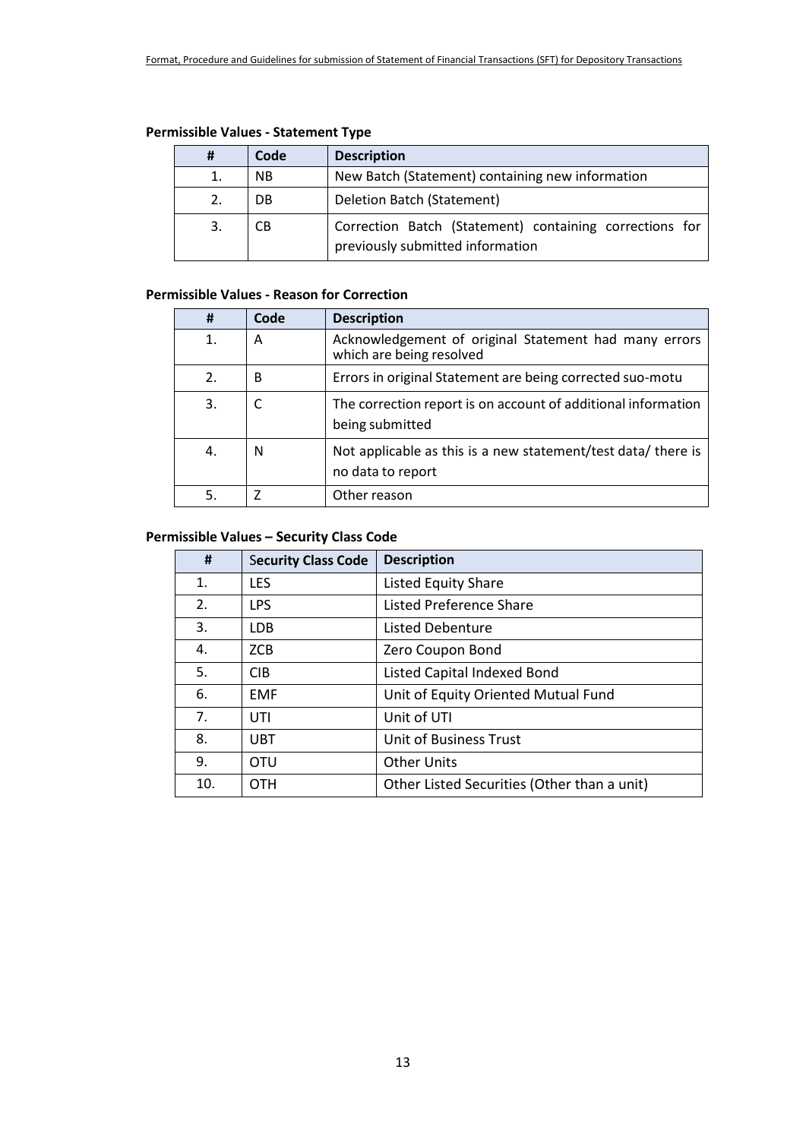| <b>Permissible Values - Statement Type</b> |  |  |
|--------------------------------------------|--|--|
|--------------------------------------------|--|--|

| #  | Code      | <b>Description</b>                                                                          |  |
|----|-----------|---------------------------------------------------------------------------------------------|--|
| 1. | <b>NB</b> | New Batch (Statement) containing new information                                            |  |
| 2. | DB        | Deletion Batch (Statement)                                                                  |  |
| 3. | CВ        | Correction Batch (Statement) containing corrections for<br>previously submitted information |  |

## **Permissible Values - Reason for Correction**

| #                | Code | <b>Description</b>                                                                 |
|------------------|------|------------------------------------------------------------------------------------|
| 1.               | Α    | Acknowledgement of original Statement had many errors<br>which are being resolved  |
| $\overline{2}$ . | B    | Errors in original Statement are being corrected suo-motu                          |
| 3.               |      | The correction report is on account of additional information<br>being submitted   |
| 4.               | N    | Not applicable as this is a new statement/test data/ there is<br>no data to report |
| 5.               |      | Other reason                                                                       |

### **Permissible Values – Security Class Code**

| #   | <b>Security Class Code</b> | <b>Description</b>                          |
|-----|----------------------------|---------------------------------------------|
| 1.  | <b>LES</b>                 | <b>Listed Equity Share</b>                  |
| 2.  | <b>LPS</b>                 | <b>Listed Preference Share</b>              |
| 3.  | LDB.                       | Listed Debenture                            |
| 4.  | ZCB                        | Zero Coupon Bond                            |
| 5.  | <b>CIB</b>                 | Listed Capital Indexed Bond                 |
| 6.  | <b>EMF</b>                 | Unit of Equity Oriented Mutual Fund         |
| 7.  | UTI                        | Unit of UTI                                 |
| 8.  | <b>UBT</b>                 | Unit of Business Trust                      |
| 9.  | <b>OTU</b>                 | <b>Other Units</b>                          |
| 10. | <b>OTH</b>                 | Other Listed Securities (Other than a unit) |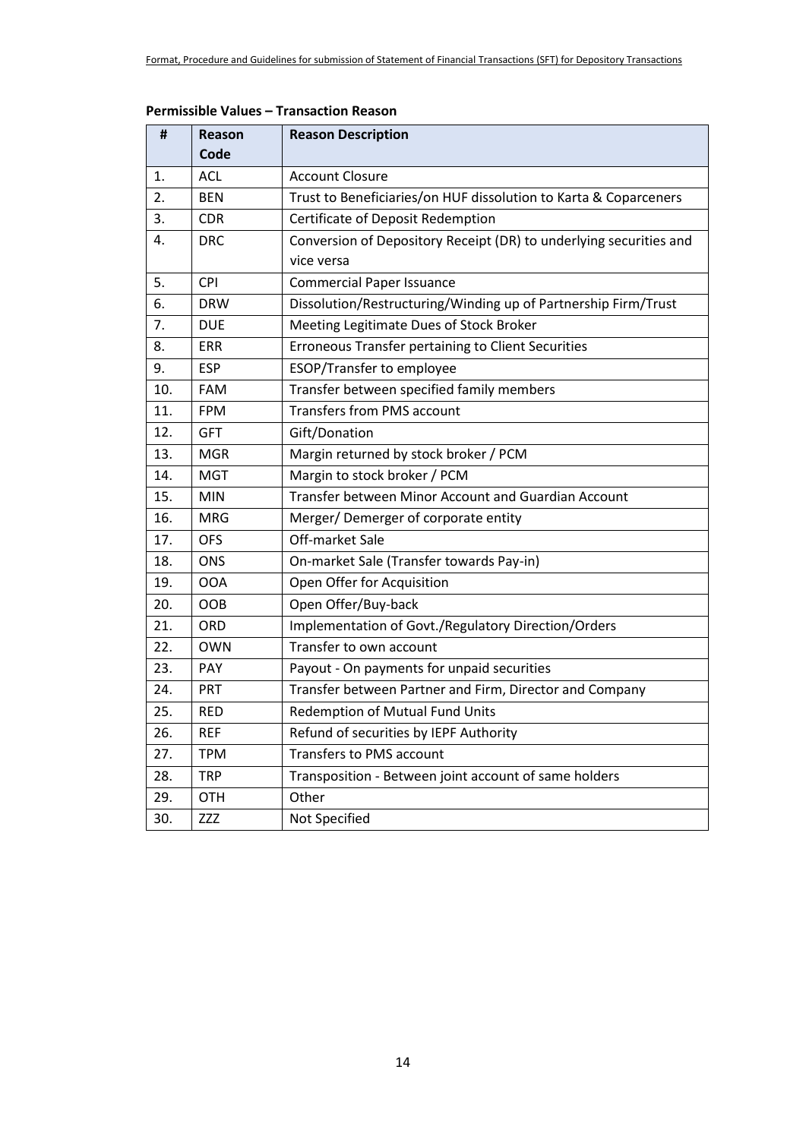| #   | Reason     | <b>Reason Description</b>                                          |  |
|-----|------------|--------------------------------------------------------------------|--|
|     | Code       |                                                                    |  |
| 1.  | <b>ACL</b> | <b>Account Closure</b>                                             |  |
| 2.  | <b>BEN</b> | Trust to Beneficiaries/on HUF dissolution to Karta & Coparceners   |  |
| 3.  | <b>CDR</b> | Certificate of Deposit Redemption                                  |  |
| 4.  | <b>DRC</b> | Conversion of Depository Receipt (DR) to underlying securities and |  |
|     |            | vice versa                                                         |  |
| 5.  | <b>CPI</b> | <b>Commercial Paper Issuance</b>                                   |  |
| 6.  | <b>DRW</b> | Dissolution/Restructuring/Winding up of Partnership Firm/Trust     |  |
| 7.  | <b>DUE</b> | Meeting Legitimate Dues of Stock Broker                            |  |
| 8.  | <b>ERR</b> | Erroneous Transfer pertaining to Client Securities                 |  |
| 9.  | <b>ESP</b> | ESOP/Transfer to employee                                          |  |
| 10. | <b>FAM</b> | Transfer between specified family members                          |  |
| 11. | <b>FPM</b> | <b>Transfers from PMS account</b>                                  |  |
| 12. | <b>GFT</b> | Gift/Donation                                                      |  |
| 13. | <b>MGR</b> | Margin returned by stock broker / PCM                              |  |
| 14. | <b>MGT</b> | Margin to stock broker / PCM                                       |  |
| 15. | <b>MIN</b> | Transfer between Minor Account and Guardian Account                |  |
| 16. | <b>MRG</b> | Merger/Demerger of corporate entity                                |  |
| 17. | <b>OFS</b> | Off-market Sale                                                    |  |
| 18. | <b>ONS</b> | On-market Sale (Transfer towards Pay-in)                           |  |
| 19. | <b>OOA</b> | Open Offer for Acquisition                                         |  |
| 20. | OOB        | Open Offer/Buy-back                                                |  |
| 21. | ORD        | Implementation of Govt./Regulatory Direction/Orders                |  |
| 22. | <b>OWN</b> | Transfer to own account                                            |  |
| 23. | <b>PAY</b> | Payout - On payments for unpaid securities                         |  |
| 24. | <b>PRT</b> | Transfer between Partner and Firm, Director and Company            |  |
| 25. | <b>RED</b> | Redemption of Mutual Fund Units                                    |  |
| 26. | <b>REF</b> | Refund of securities by IEPF Authority                             |  |
| 27. | <b>TPM</b> | Transfers to PMS account                                           |  |
| 28. | <b>TRP</b> | Transposition - Between joint account of same holders              |  |
| 29. | <b>OTH</b> | Other                                                              |  |
| 30. | <b>ZZZ</b> | Not Specified                                                      |  |

#### **Permissible Values – Transaction Reason**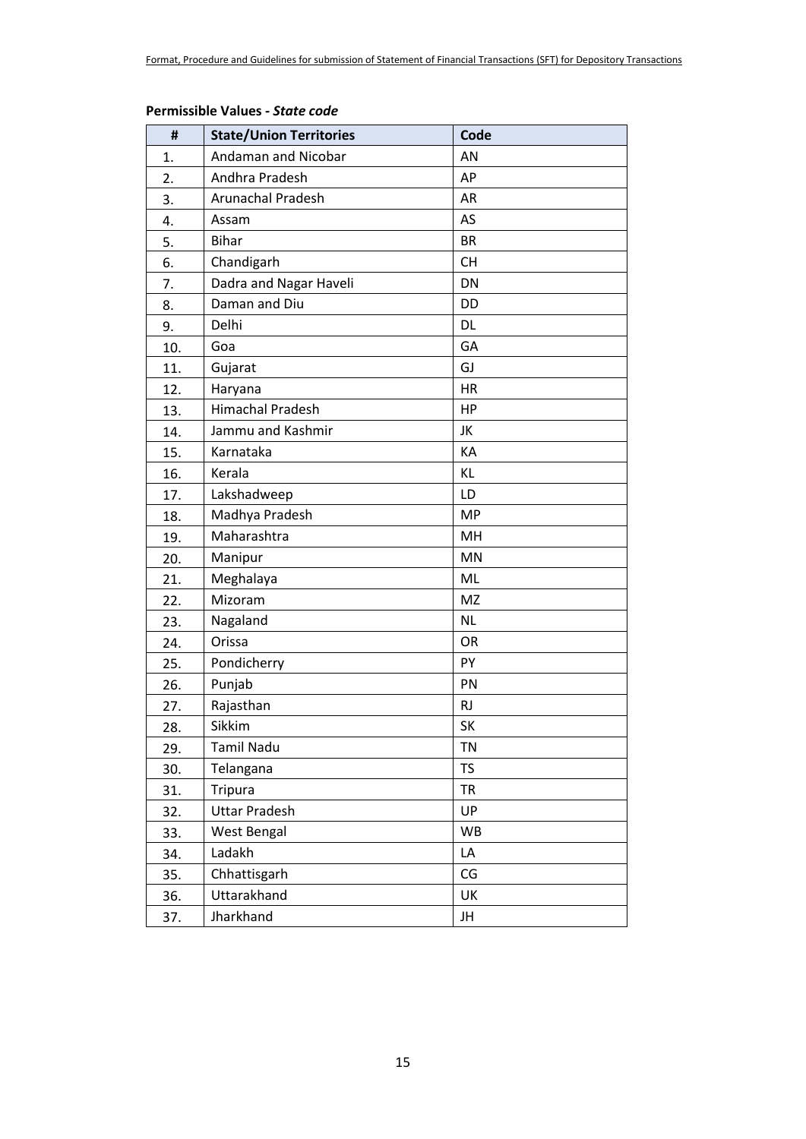| #   | <b>State/Union Territories</b> | Code      |
|-----|--------------------------------|-----------|
| 1.  | Andaman and Nicobar            | AN        |
| 2.  | Andhra Pradesh                 | AP        |
| 3.  | <b>Arunachal Pradesh</b>       | <b>AR</b> |
| 4.  | Assam                          | AS        |
| 5.  | <b>Bihar</b>                   | <b>BR</b> |
| 6.  | Chandigarh                     | <b>CH</b> |
| 7.  | Dadra and Nagar Haveli         | DN        |
| 8.  | Daman and Diu                  | DD        |
| 9.  | Delhi                          | DL        |
| 10. | Goa                            | GA        |
| 11. | Gujarat                        | GJ        |
| 12. | Haryana                        | <b>HR</b> |
| 13. | <b>Himachal Pradesh</b>        | HP        |
| 14. | Jammu and Kashmir              | JK        |
| 15. | Karnataka                      | KA        |
| 16. | Kerala                         | KL        |
| 17. | Lakshadweep                    | LD        |
| 18. | Madhya Pradesh                 | <b>MP</b> |
| 19. | Maharashtra                    | MH        |
| 20. | Manipur                        | <b>MN</b> |
| 21. | Meghalaya                      | ML        |
| 22. | Mizoram                        | <b>MZ</b> |
| 23. | Nagaland                       | <b>NL</b> |
| 24. | Orissa                         | OR        |
| 25. | Pondicherry                    | PY        |
| 26. | Punjab                         | PN        |
| 27. | Rajasthan                      | <b>RJ</b> |
| 28. | Sikkim                         | SK        |
| 29. | <b>Tamil Nadu</b>              | <b>TN</b> |
| 30. | Telangana                      | <b>TS</b> |
| 31. | Tripura                        | <b>TR</b> |
| 32. | <b>Uttar Pradesh</b>           | UP        |
| 33. | West Bengal                    | <b>WB</b> |
| 34. | Ladakh                         | LA        |
| 35. | Chhattisgarh                   | CG        |
| 36. | Uttarakhand                    | UK        |
| 37. | Jharkhand                      | JH        |

#### **Permissible Values** *- State code*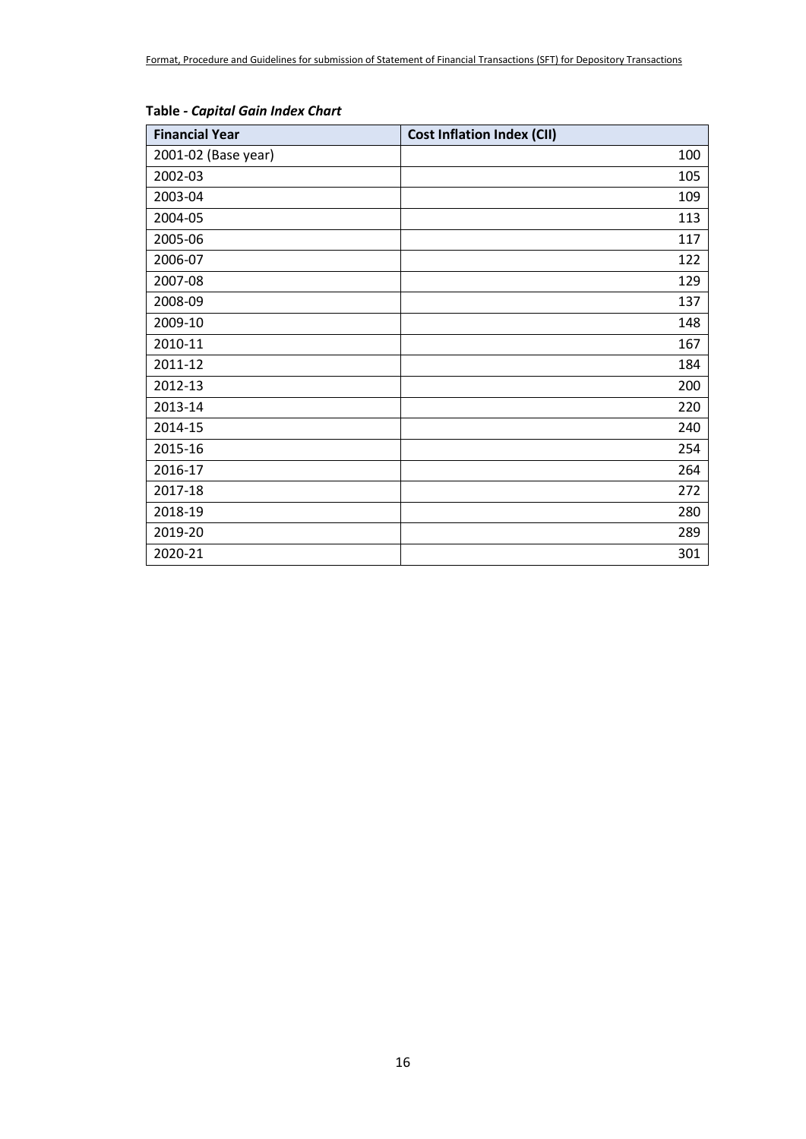| <b>Financial Year</b> | <b>Cost Inflation Index (CII)</b> |
|-----------------------|-----------------------------------|
| 2001-02 (Base year)   | 100                               |
| 2002-03               | 105                               |
| 2003-04               | 109                               |
| 2004-05               | 113                               |
| 2005-06               | 117                               |
| 2006-07               | 122                               |
| 2007-08               | 129                               |
| 2008-09               | 137                               |
| 2009-10               | 148                               |
| 2010-11               | 167                               |
| 2011-12               | 184                               |
| 2012-13               | 200                               |
| 2013-14               | 220                               |
| 2014-15               | 240                               |
| 2015-16               | 254                               |
| 2016-17               | 264                               |
| 2017-18               | 272                               |
| 2018-19               | 280                               |
| 2019-20               | 289                               |
| 2020-21               | 301                               |

#### **Table** *- Capital Gain Index Chart*